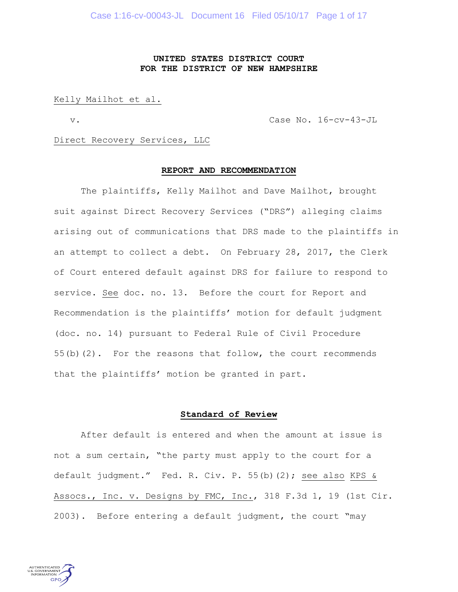# **UNITED STATES DISTRICT COURT FOR THE DISTRICT OF NEW HAMPSHIRE**

### Kelly Mailhot et al.

v. Case No. 16-cv-43-JL

#### Direct Recovery Services, LLC

#### **REPORT AND RECOMMENDATION**

The plaintiffs, Kelly Mailhot and Dave Mailhot, brought suit against Direct Recovery Services ("DRS") alleging claims arising out of communications that DRS made to the plaintiffs in an attempt to collect a debt. On February 28, 2017, the Clerk of Court entered default against DRS for failure to respond to service. See doc. no. 13. Before the court for Report and Recommendation is the plaintiffs' motion for default judgment (doc. no. 14) pursuant to Federal Rule of Civil Procedure 55(b)(2). For the reasons that follow, the court recommends that the plaintiffs' motion be granted in part.

#### **Standard of Review**

After default is entered and when the amount at issue is not a sum certain, "the party must apply to the court for a default judgment." Fed. R. Civ. P. 55(b)(2); see also KPS & Assocs., Inc. v. Designs by FMC, Inc., 318 F.3d 1, 19 (1st Cir. 2003). Before entering a default judgment, the court "may

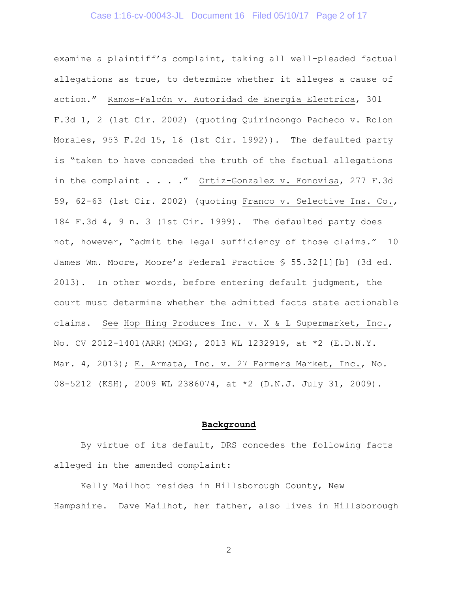# Case 1:16-cv-00043-JL Document 16 Filed 05/10/17 Page 2 of 17

examine a plaintiff's complaint, taking all well-pleaded factual allegations as true, to determine whether it alleges a cause of action." Ramos-Falcón v. Autoridad de Energía Electríca, 301 F.3d 1, 2 (1st Cir. 2002) (quoting Quirindongo Pacheco v. Rolon Morales, 953 F.2d 15, 16 (1st Cir. 1992)). The defaulted party is "taken to have conceded the truth of the factual allegations in the complaint . . . ." Ortiz-Gonzalez v. Fonovisa, 277 F.3d 59, 62-63 (1st Cir. 2002) (quoting Franco v. Selective Ins. Co., 184 F.3d 4, 9 n. 3 (1st Cir. 1999). The defaulted party does not, however, "admit the legal sufficiency of those claims." 10 James Wm. Moore, Moore's Federal Practice § 55.32[1][b] (3d ed. 2013). In other words, before entering default judgment, the court must determine whether the admitted facts state actionable claims. See Hop Hing Produces Inc. v. X & L Supermarket, Inc., No. CV 2012-1401(ARR)(MDG), 2013 WL 1232919, at \*2 (E.D.N.Y. Mar. 4, 2013); E. Armata, Inc. v. 27 Farmers Market, Inc., No. 08-5212 (KSH), 2009 WL 2386074, at \*2 (D.N.J. July 31, 2009).

### **Background**

By virtue of its default, DRS concedes the following facts alleged in the amended complaint:

Kelly Mailhot resides in Hillsborough County, New Hampshire. Dave Mailhot, her father, also lives in Hillsborough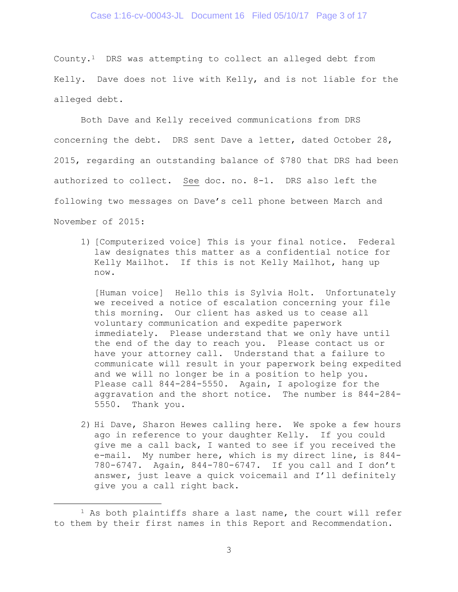### Case 1:16-cv-00043-JL Document 16 Filed 05/10/17 Page 3 of 17

County.1 DRS was attempting to collect an alleged debt from Kelly. Dave does not live with Kelly, and is not liable for the alleged debt.

Both Dave and Kelly received communications from DRS concerning the debt. DRS sent Dave a letter, dated October 28, 2015, regarding an outstanding balance of \$780 that DRS had been authorized to collect. See doc. no. 8-1. DRS also left the following two messages on Dave's cell phone between March and November of 2015:

1) [Computerized voice] This is your final notice. Federal law designates this matter as a confidential notice for Kelly Mailhot. If this is not Kelly Mailhot, hang up now.

[Human voice] Hello this is Sylvia Holt. Unfortunately we received a notice of escalation concerning your file this morning. Our client has asked us to cease all voluntary communication and expedite paperwork immediately. Please understand that we only have until the end of the day to reach you. Please contact us or have your attorney call. Understand that a failure to communicate will result in your paperwork being expedited and we will no longer be in a position to help you. Please call 844-284-5550. Again, I apologize for the aggravation and the short notice. The number is 844-284- 5550. Thank you.

2) Hi Dave, Sharon Hewes calling here. We spoke a few hours ago in reference to your daughter Kelly. If you could give me a call back, I wanted to see if you received the e-mail. My number here, which is my direct line, is 844- 780-6747. Again, 844-780-6747. If you call and I don't answer, just leave a quick voicemail and I'll definitely give you a call right back.

 $\overline{\phantom{a}}$ 

<sup>&</sup>lt;sup>1</sup> As both plaintiffs share a last name, the court will refer to them by their first names in this Report and Recommendation.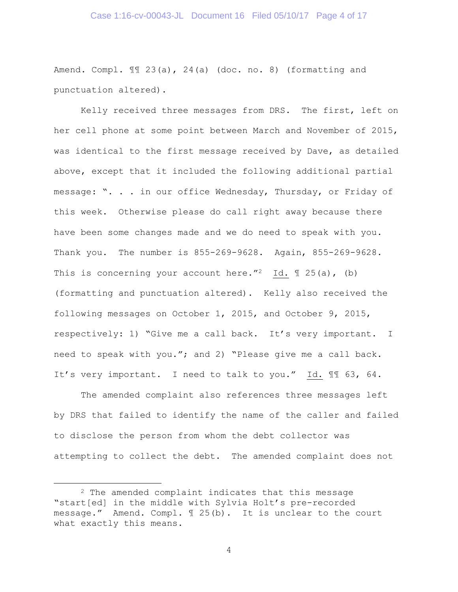Amend. Compl. ¶¶ 23(a), 24(a) (doc. no. 8) (formatting and punctuation altered).

Kelly received three messages from DRS. The first, left on her cell phone at some point between March and November of 2015, was identical to the first message received by Dave, as detailed above, except that it included the following additional partial message: ". . . in our office Wednesday, Thursday, or Friday of this week. Otherwise please do call right away because there have been some changes made and we do need to speak with you. Thank you. The number is 855-269-9628. Again, 855-269-9628. This is concerning your account here."<sup>2</sup> Id.  $\mathbb{I}$  25(a), (b) (formatting and punctuation altered). Kelly also received the following messages on October 1, 2015, and October 9, 2015, respectively: 1) "Give me a call back. It's very important. I need to speak with you."; and 2) "Please give me a call back. It's very important. I need to talk to you." Id. ¶¶ 63, 64.

The amended complaint also references three messages left by DRS that failed to identify the name of the caller and failed to disclose the person from whom the debt collector was attempting to collect the debt. The amended complaint does not

 $\overline{a}$ 

<sup>2</sup> The amended complaint indicates that this message "start[ed] in the middle with Sylvia Holt's pre-recorded message." Amend. Compl. ¶ 25(b). It is unclear to the court what exactly this means.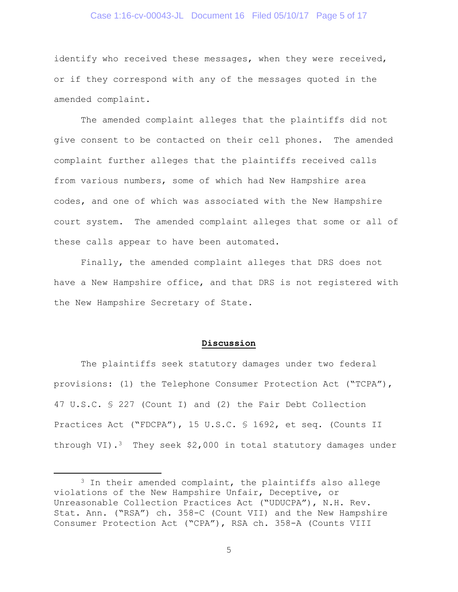# Case 1:16-cv-00043-JL Document 16 Filed 05/10/17 Page 5 of 17

identify who received these messages, when they were received, or if they correspond with any of the messages quoted in the amended complaint.

The amended complaint alleges that the plaintiffs did not give consent to be contacted on their cell phones. The amended complaint further alleges that the plaintiffs received calls from various numbers, some of which had New Hampshire area codes, and one of which was associated with the New Hampshire court system. The amended complaint alleges that some or all of these calls appear to have been automated.

Finally, the amended complaint alleges that DRS does not have a New Hampshire office, and that DRS is not registered with the New Hampshire Secretary of State.

### **Discussion**

The plaintiffs seek statutory damages under two federal provisions: (1) the Telephone Consumer Protection Act ("TCPA"), 47 U.S.C. § 227 (Count I) and (2) the Fair Debt Collection Practices Act ("FDCPA"), 15 U.S.C. § 1692, et seq. (Counts II through VI).<sup>3</sup> They seek \$2,000 in total statutory damages under

 $\overline{a}$ 

<sup>&</sup>lt;sup>3</sup> In their amended complaint, the plaintiffs also allege violations of the New Hampshire Unfair, Deceptive, or Unreasonable Collection Practices Act ("UDUCPA"), N.H. Rev. Stat. Ann. ("RSA") ch. 358-C (Count VII) and the New Hampshire Consumer Protection Act ("CPA"), RSA ch. 358-A (Counts VIII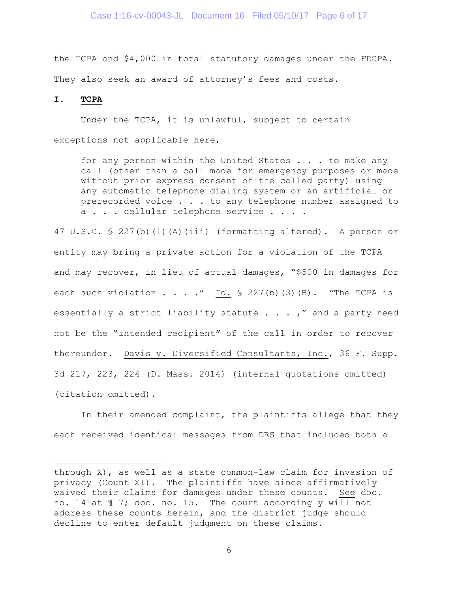the TCPA and \$4,000 in total statutory damages under the FDCPA. They also seek an award of attorney's fees and costs.

# **I. TCPA**

 $\overline{\phantom{a}}$ 

Under the TCPA, it is unlawful, subject to certain exceptions not applicable here,

for any person within the United States . . . to make any call (other than a call made for emergency purposes or made without prior express consent of the called party) using any automatic telephone dialing system or an artificial or prerecorded voice . . . to any telephone number assigned to a . . . cellular telephone service . . . .

47 U.S.C. § 227(b)(1)(A)(iii) (formatting altered). A person or entity may bring a private action for a violation of the TCPA and may recover, in lieu of actual damages, "\$500 in damages for each such violation . . . ." Id.  $\frac{1}{2}$  227(b)(3)(B). "The TCPA is essentially a strict liability statute  $\ldots$ ,  $\ldots$  and a party need not be the "intended recipient" of the call in order to recover thereunder. Davis v. Diversified Consultants, Inc., 36 F. Supp. 3d 217, 223, 224 (D. Mass. 2014) (internal quotations omitted) (citation omitted).

In their amended complaint, the plaintiffs allege that they each received identical messages from DRS that included both a

through X), as well as a state common-law claim for invasion of privacy (Count XI). The plaintiffs have since affirmatively waived their claims for damages under these counts. See doc. no. 14 at ¶ 7; doc. no. 15. The court accordingly will not address these counts herein, and the district judge should decline to enter default judgment on these claims.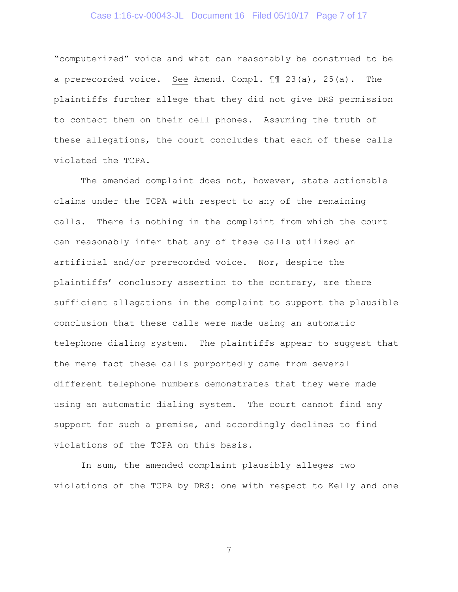# Case 1:16-cv-00043-JL Document 16 Filed 05/10/17 Page 7 of 17

"computerized" voice and what can reasonably be construed to be a prerecorded voice. See Amend. Compl. ¶¶ 23(a), 25(a). The plaintiffs further allege that they did not give DRS permission to contact them on their cell phones. Assuming the truth of these allegations, the court concludes that each of these calls violated the TCPA.

The amended complaint does not, however, state actionable claims under the TCPA with respect to any of the remaining calls. There is nothing in the complaint from which the court can reasonably infer that any of these calls utilized an artificial and/or prerecorded voice. Nor, despite the plaintiffs' conclusory assertion to the contrary, are there sufficient allegations in the complaint to support the plausible conclusion that these calls were made using an automatic telephone dialing system. The plaintiffs appear to suggest that the mere fact these calls purportedly came from several different telephone numbers demonstrates that they were made using an automatic dialing system. The court cannot find any support for such a premise, and accordingly declines to find violations of the TCPA on this basis.

In sum, the amended complaint plausibly alleges two violations of the TCPA by DRS: one with respect to Kelly and one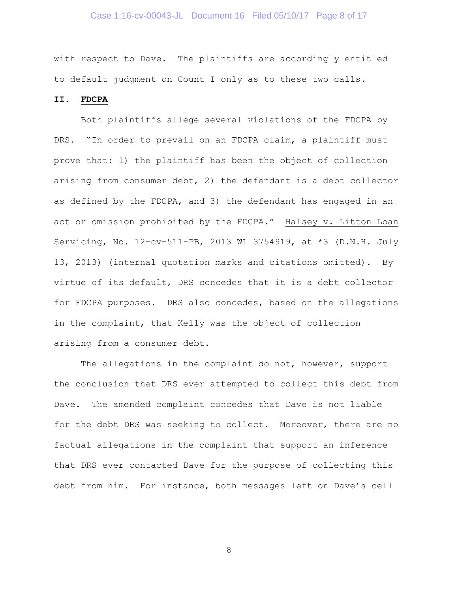# Case 1:16-cv-00043-JL Document 16 Filed 05/10/17 Page 8 of 17

with respect to Dave. The plaintiffs are accordingly entitled to default judgment on Count I only as to these two calls.

### **II. FDCPA**

Both plaintiffs allege several violations of the FDCPA by DRS. "In order to prevail on an FDCPA claim, a plaintiff must prove that: 1) the plaintiff has been the object of collection arising from consumer debt, 2) the defendant is a debt collector as defined by the FDCPA, and 3) the defendant has engaged in an act or omission prohibited by the FDCPA." Halsey v. Litton Loan Servicing, No. 12-cv-511-PB, 2013 WL 3754919, at \*3 (D.N.H. July 13, 2013) (internal quotation marks and citations omitted). By virtue of its default, DRS concedes that it is a debt collector for FDCPA purposes. DRS also concedes, based on the allegations in the complaint, that Kelly was the object of collection arising from a consumer debt.

The allegations in the complaint do not, however, support the conclusion that DRS ever attempted to collect this debt from Dave. The amended complaint concedes that Dave is not liable for the debt DRS was seeking to collect. Moreover, there are no factual allegations in the complaint that support an inference that DRS ever contacted Dave for the purpose of collecting this debt from him. For instance, both messages left on Dave's cell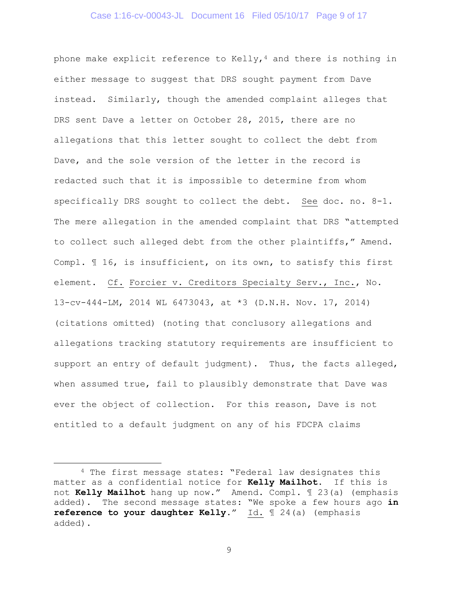# Case 1:16-cv-00043-JL Document 16 Filed 05/10/17 Page 9 of 17

phone make explicit reference to  $Kelly, 4$  and there is nothing in either message to suggest that DRS sought payment from Dave instead. Similarly, though the amended complaint alleges that DRS sent Dave a letter on October 28, 2015, there are no allegations that this letter sought to collect the debt from Dave, and the sole version of the letter in the record is redacted such that it is impossible to determine from whom specifically DRS sought to collect the debt. See doc. no. 8-1. The mere allegation in the amended complaint that DRS "attempted to collect such alleged debt from the other plaintiffs," Amend. Compl. ¶ 16, is insufficient, on its own, to satisfy this first element. Cf. Forcier v. Creditors Specialty Serv., Inc., No. 13-cv-444-LM, 2014 WL 6473043, at \*3 (D.N.H. Nov. 17, 2014) (citations omitted) (noting that conclusory allegations and allegations tracking statutory requirements are insufficient to support an entry of default judgment). Thus, the facts alleged, when assumed true, fail to plausibly demonstrate that Dave was ever the object of collection. For this reason, Dave is not entitled to a default judgment on any of his FDCPA claims

 $\overline{\phantom{a}}$ 

<sup>4</sup> The first message states: "Federal law designates this matter as a confidential notice for **Kelly Mailhot**. If this is not **Kelly Mailhot** hang up now." Amend. Compl. ¶ 23(a) (emphasis added). The second message states: "We spoke a few hours ago **in reference to your daughter Kelly**." Id. ¶ 24(a) (emphasis added).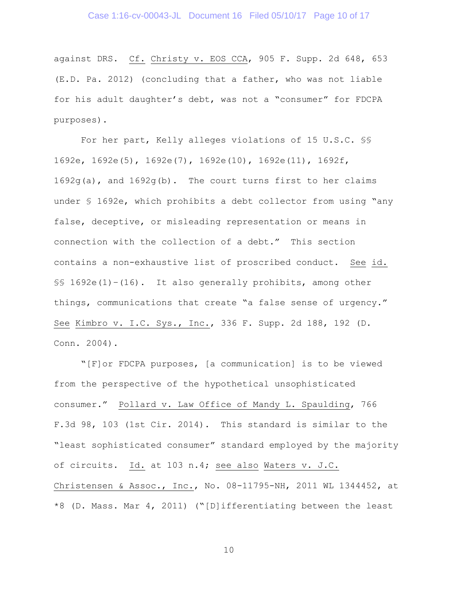# Case 1:16-cv-00043-JL Document 16 Filed 05/10/17 Page 10 of 17

against DRS. Cf. Christy v. EOS CCA, 905 F. Supp. 2d 648, 653 (E.D. Pa. 2012) (concluding that a father, who was not liable for his adult daughter's debt, was not a "consumer" for FDCPA purposes).

For her part, Kelly alleges violations of 15 U.S.C. §§ 1692e, 1692e(5), 1692e(7), 1692e(10), 1692e(11), 1692f, 1692g(a), and 1692g(b). The court turns first to her claims under § 1692e, which prohibits a debt collector from using "any false, deceptive, or misleading representation or means in connection with the collection of a debt." This section contains a non-exhaustive list of proscribed conduct. See id. §§ 1692e(1)–(16). It also generally prohibits, among other things, communications that create "a false sense of urgency." See Kimbro v. I.C. Sys., Inc., 336 F. Supp. 2d 188, 192 (D. Conn. 2004).

"[F]or FDCPA purposes, [a communication] is to be viewed from the perspective of the hypothetical unsophisticated consumer." Pollard v. Law Office of Mandy L. Spaulding, 766 F.3d 98, 103 (1st Cir. 2014). This standard is similar to the "least sophisticated consumer" standard employed by the majority of circuits. Id. at 103 n.4; see also Waters v. J.C. Christensen & Assoc., Inc., No. 08-11795-NH, 2011 WL 1344452, at \*8 (D. Mass. Mar 4, 2011) ("[D]ifferentiating between the least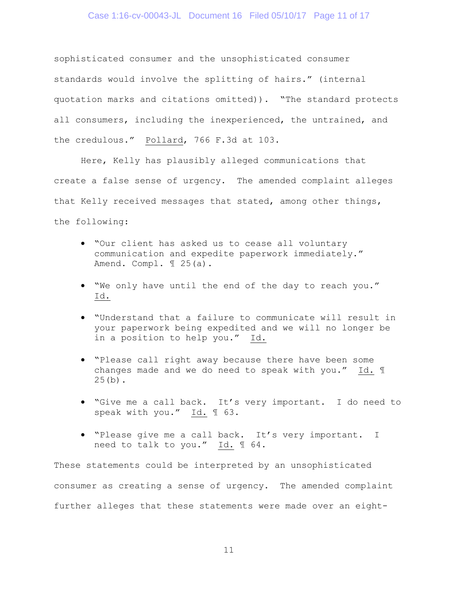# Case 1:16-cv-00043-JL Document 16 Filed 05/10/17 Page 11 of 17

sophisticated consumer and the unsophisticated consumer standards would involve the splitting of hairs." (internal quotation marks and citations omitted)). "The standard protects all consumers, including the inexperienced, the untrained, and the credulous." Pollard, 766 F.3d at 103.

Here, Kelly has plausibly alleged communications that create a false sense of urgency. The amended complaint alleges that Kelly received messages that stated, among other things, the following:

- "Our client has asked us to cease all voluntary communication and expedite paperwork immediately." Amend. Compl. 1 25(a).
- "We only have until the end of the day to reach you." Id.
- "Understand that a failure to communicate will result in your paperwork being expedited and we will no longer be in a position to help you." Id.
- "Please call right away because there have been some changes made and we do need to speak with you." Id. ¶  $25(b)$ .
- "Give me a call back. It's very important. I do need to speak with you." Id. ¶ 63.
- "Please give me a call back. It's very important. I need to talk to you." Id. ¶ 64.

These statements could be interpreted by an unsophisticated consumer as creating a sense of urgency. The amended complaint further alleges that these statements were made over an eight-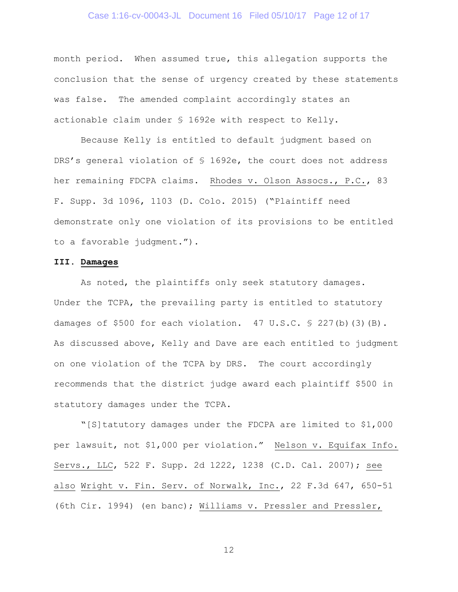# Case 1:16-cv-00043-JL Document 16 Filed 05/10/17 Page 12 of 17

month period. When assumed true, this allegation supports the conclusion that the sense of urgency created by these statements was false. The amended complaint accordingly states an actionable claim under § 1692e with respect to Kelly.

Because Kelly is entitled to default judgment based on DRS's general violation of § 1692e, the court does not address her remaining FDCPA claims. Rhodes v. Olson Assocs., P.C., 83 F. Supp. 3d 1096, 1103 (D. Colo. 2015) ("Plaintiff need demonstrate only one violation of its provisions to be entitled to a favorable judgment.").

# **III. Damages**

As noted, the plaintiffs only seek statutory damages. Under the TCPA, the prevailing party is entitled to statutory damages of \$500 for each violation.  $47 \text{ U.S.C. }$  \$ 227(b)(3)(B). As discussed above, Kelly and Dave are each entitled to judgment on one violation of the TCPA by DRS. The court accordingly recommends that the district judge award each plaintiff \$500 in statutory damages under the TCPA.

"[S]tatutory damages under the FDCPA are limited to \$1,000 per lawsuit, not \$1,000 per violation." Nelson v. Equifax Info. Servs., LLC, 522 F. Supp. 2d 1222, 1238 (C.D. Cal. 2007); see also Wright v. Fin. Serv. of Norwalk, Inc., 22 F.3d 647, 650-51 (6th Cir. 1994) (en banc); Williams v. Pressler and Pressler,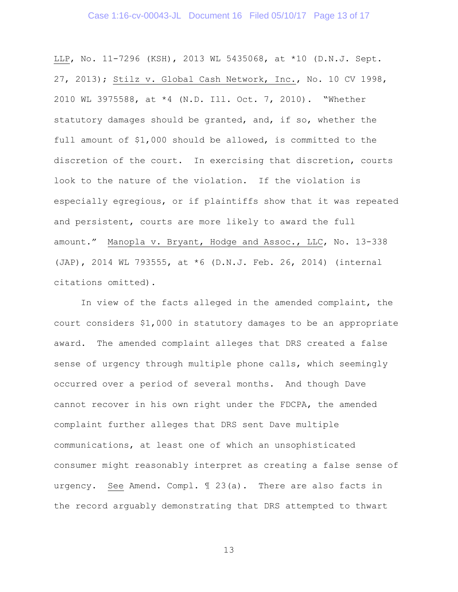LLP, No. 11-7296 (KSH), 2013 WL 5435068, at \*10 (D.N.J. Sept. 27, 2013); Stilz v. Global Cash Network, Inc., No. 10 CV 1998, 2010 WL 3975588, at \*4 (N.D. Ill. Oct. 7, 2010). "Whether statutory damages should be granted, and, if so, whether the full amount of \$1,000 should be allowed, is committed to the discretion of the court. In exercising that discretion, courts look to the nature of the violation. If the violation is especially egregious, or if plaintiffs show that it was repeated and persistent, courts are more likely to award the full amount." Manopla v. Bryant, Hodge and Assoc., LLC, No. 13-338 (JAP), 2014 WL 793555, at \*6 (D.N.J. Feb. 26, 2014) (internal citations omitted).

In view of the facts alleged in the amended complaint, the court considers \$1,000 in statutory damages to be an appropriate award. The amended complaint alleges that DRS created a false sense of urgency through multiple phone calls, which seemingly occurred over a period of several months. And though Dave cannot recover in his own right under the FDCPA, the amended complaint further alleges that DRS sent Dave multiple communications, at least one of which an unsophisticated consumer might reasonably interpret as creating a false sense of urgency. See Amend. Compl. ¶ 23(a). There are also facts in the record arguably demonstrating that DRS attempted to thwart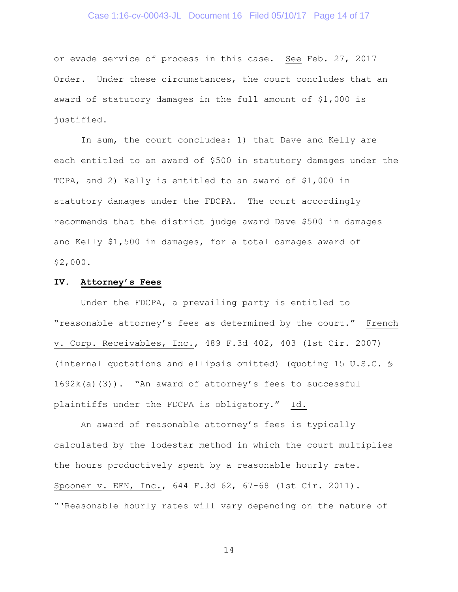# Case 1:16-cv-00043-JL Document 16 Filed 05/10/17 Page 14 of 17

or evade service of process in this case. See Feb. 27, 2017 Order. Under these circumstances, the court concludes that an award of statutory damages in the full amount of \$1,000 is justified.

In sum, the court concludes: 1) that Dave and Kelly are each entitled to an award of \$500 in statutory damages under the TCPA, and 2) Kelly is entitled to an award of \$1,000 in statutory damages under the FDCPA. The court accordingly recommends that the district judge award Dave \$500 in damages and Kelly \$1,500 in damages, for a total damages award of \$2,000.

#### **IV. Attorney's Fees**

Under the FDCPA, a prevailing party is entitled to "reasonable attorney's fees as determined by the court." French v. Corp. Receivables, Inc., 489 F.3d 402, 403 (1st Cir. 2007) (internal quotations and ellipsis omitted) (quoting 15 U.S.C. §  $1692k(a)(3)$ . "An award of attorney's fees to successful plaintiffs under the FDCPA is obligatory." Id.

An award of reasonable attorney's fees is typically calculated by the lodestar method in which the court multiplies the hours productively spent by a reasonable hourly rate. Spooner v. EEN, Inc., 644 F.3d 62, 67-68 (1st Cir. 2011). "'Reasonable hourly rates will vary depending on the nature of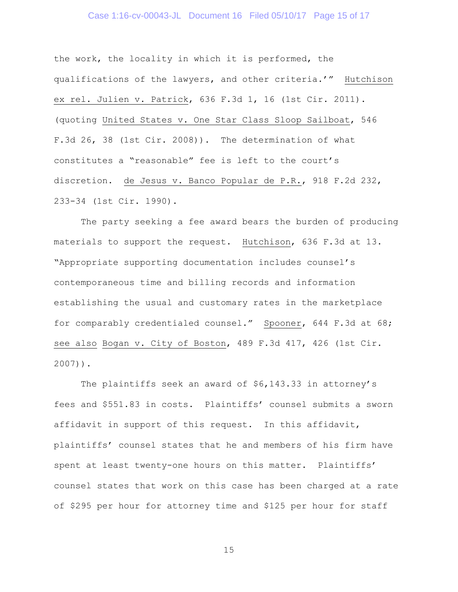# Case 1:16-cv-00043-JL Document 16 Filed 05/10/17 Page 15 of 17

the work, the locality in which it is performed, the qualifications of the lawyers, and other criteria.'" Hutchison ex rel. Julien v. Patrick, 636 F.3d 1, 16 (1st Cir. 2011). (quoting United States v. One Star Class Sloop Sailboat, 546 F.3d 26, 38 (1st Cir. 2008)). The determination of what constitutes a "reasonable" fee is left to the court's discretion. de Jesus v. Banco Popular de P.R., 918 F.2d 232, 233-34 (1st Cir. 1990).

The party seeking a fee award bears the burden of producing materials to support the request. Hutchison, 636 F.3d at 13. "Appropriate supporting documentation includes counsel's contemporaneous time and billing records and information establishing the usual and customary rates in the marketplace for comparably credentialed counsel." Spooner, 644 F.3d at 68; see also Bogan v. City of Boston, 489 F.3d 417, 426 (1st Cir. 2007)).

The plaintiffs seek an award of \$6,143.33 in attorney's fees and \$551.83 in costs. Plaintiffs' counsel submits a sworn affidavit in support of this request. In this affidavit, plaintiffs' counsel states that he and members of his firm have spent at least twenty-one hours on this matter. Plaintiffs' counsel states that work on this case has been charged at a rate of \$295 per hour for attorney time and \$125 per hour for staff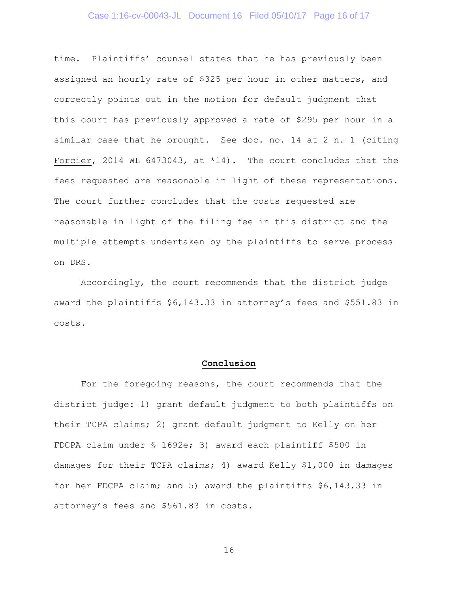# Case 1:16-cv-00043-JL Document 16 Filed 05/10/17 Page 16 of 17

time. Plaintiffs' counsel states that he has previously been assigned an hourly rate of \$325 per hour in other matters, and correctly points out in the motion for default judgment that this court has previously approved a rate of \$295 per hour in a similar case that he brought. See doc. no. 14 at 2 n. 1 (citing Forcier, 2014 WL 6473043, at \*14). The court concludes that the fees requested are reasonable in light of these representations. The court further concludes that the costs requested are reasonable in light of the filing fee in this district and the multiple attempts undertaken by the plaintiffs to serve process on DRS.

Accordingly, the court recommends that the district judge award the plaintiffs \$6,143.33 in attorney's fees and \$551.83 in costs.

### **Conclusion**

For the foregoing reasons, the court recommends that the district judge: 1) grant default judgment to both plaintiffs on their TCPA claims; 2) grant default judgment to Kelly on her FDCPA claim under § 1692e; 3) award each plaintiff \$500 in damages for their TCPA claims; 4) award Kelly \$1,000 in damages for her FDCPA claim; and 5) award the plaintiffs \$6,143.33 in attorney's fees and \$561.83 in costs.